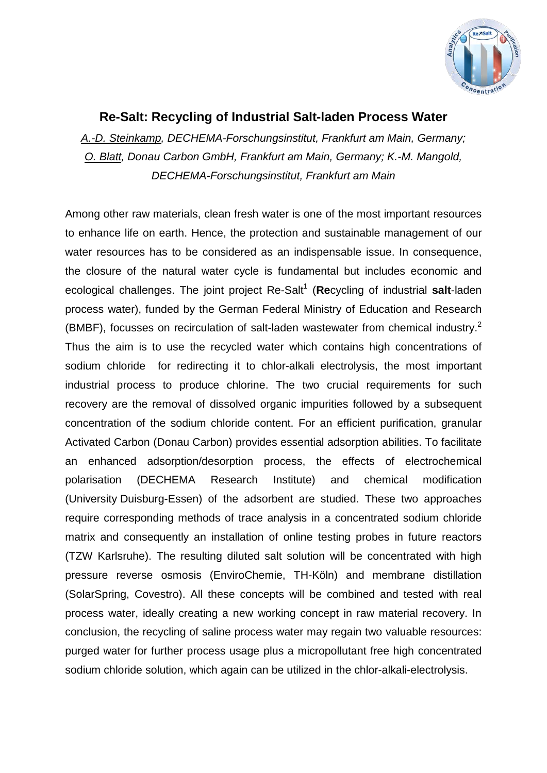

## **Re-Salt: Recycling of Industrial Salt-laden Process Water**

*A.-D. Steinkamp, DECHEMA-Forschungsinstitut, Frankfurt am Main, Germany; O. Blatt, Donau Carbon GmbH, Frankfurt am Main, Germany; K.-M. Mangold, DECHEMA-Forschungsinstitut, Frankfurt am Main*

Among other raw materials, clean fresh water is one of the most important resources to enhance life on earth. Hence, the protection and sustainable management of our water resources has to be considered as an indispensable issue. In consequence, the closure of the natural water cycle is fundamental but includes economic and ecological challenges. The joint project Re-Salt<sup>1</sup> (Recycling of industrial **salt-laden** process water), funded by the German Federal Ministry of Education and Research (BMBF), focusses on recirculation of salt-laden wastewater from chemical industry.<sup>2</sup> Thus the aim is to use the recycled water which contains high concentrations of sodium chloride for redirecting it to chlor-alkali electrolysis, the most important industrial process to produce chlorine. The two crucial requirements for such recovery are the removal of dissolved organic impurities followed by a subsequent concentration of the sodium chloride content. For an efficient purification, granular Activated Carbon (Donau Carbon) provides essential adsorption abilities. To facilitate an enhanced adsorption/desorption process, the effects of electrochemical polarisation (DECHEMA Research Institute) and chemical modification (University Duisburg-Essen) of the adsorbent are studied. These two approaches require corresponding methods of trace analysis in a concentrated sodium chloride matrix and consequently an installation of online testing probes in future reactors (TZW Karlsruhe). The resulting diluted salt solution will be concentrated with high pressure reverse osmosis (EnviroChemie, TH-Köln) and membrane distillation (SolarSpring, Covestro). All these concepts will be combined and tested with real process water, ideally creating a new working concept in raw material recovery. In conclusion, the recycling of saline process water may regain two valuable resources: purged water for further process usage plus a micropollutant free high concentrated sodium chloride solution, which again can be utilized in the chlor-alkali-electrolysis.